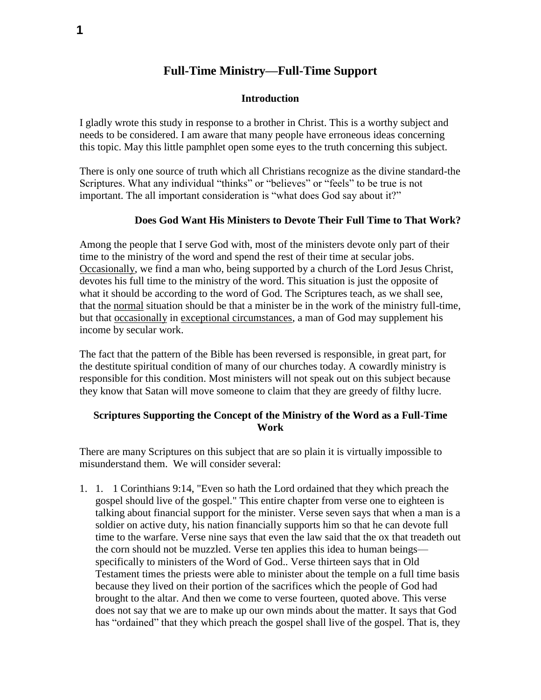# **Full-Time Ministry—Full-Time Support**

#### **Introduction**

I gladly wrote this study in response to a brother in Christ. This is a worthy subject and needs to be considered. I am aware that many people have erroneous ideas concerning this topic. May this little pamphlet open some eyes to the truth concerning this subject.

There is only one source of truth which all Christians recognize as the divine standard-the Scriptures. What any individual "thinks" or "believes" or "feels" to be true is not important. The all important consideration is "what does God say about it?"

### **Does God Want His Ministers to Devote Their Full Time to That Work?**

Among the people that I serve God with, most of the ministers devote only part of their time to the ministry of the word and spend the rest of their time at secular jobs. Occasionally, we find a man who, being supported by a church of the Lord Jesus Christ, devotes his full time to the ministry of the word. This situation is just the opposite of what it should be according to the word of God. The Scriptures teach, as we shall see, that the normal situation should be that a minister be in the work of the ministry full-time, but that occasionally in exceptional circumstances, a man of God may supplement his income by secular work.

The fact that the pattern of the Bible has been reversed is responsible, in great part, for the destitute spiritual condition of many of our churches today. A cowardly ministry is responsible for this condition. Most ministers will not speak out on this subject because they know that Satan will move someone to claim that they are greedy of filthy lucre.

## **Scriptures Supporting the Concept of the Ministry of the Word as a Full-Time Work**

There are many Scriptures on this subject that are so plain it is virtually impossible to misunderstand them. We will consider several:

1. 1. 1 Corinthians 9:14, "Even so hath the Lord ordained that they which preach the gospel should live of the gospel." This entire chapter from verse one to eighteen is talking about financial support for the minister. Verse seven says that when a man is a soldier on active duty, his nation financially supports him so that he can devote full time to the warfare. Verse nine says that even the law said that the ox that treadeth out the corn should not be muzzled. Verse ten applies this idea to human beings specifically to ministers of the Word of God.. Verse thirteen says that in Old Testament times the priests were able to minister about the temple on a full time basis because they lived on their portion of the sacrifices which the people of God had brought to the altar. And then we come to verse fourteen, quoted above. This verse does not say that we are to make up our own minds about the matter. It says that God has "ordained" that they which preach the gospel shall live of the gospel. That is, they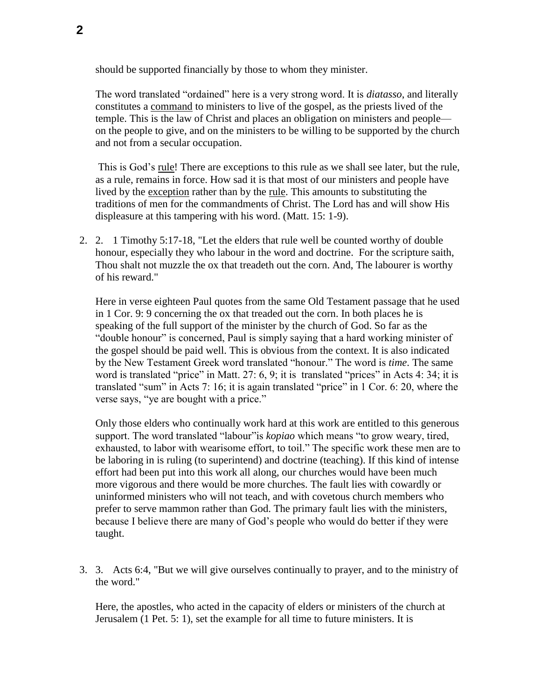should be supported financially by those to whom they minister.

The word translated "ordained" here is a very strong word. It is *diatasso*, and literally constitutes a command to ministers to live of the gospel, as the priests lived of the temple. This is the law of Christ and places an obligation on ministers and people on the people to give, and on the ministers to be willing to be supported by the church and not from a secular occupation.

This is God's rule! There are exceptions to this rule as we shall see later, but the rule, as a rule, remains in force. How sad it is that most of our ministers and people have lived by the exception rather than by the rule. This amounts to substituting the traditions of men for the commandments of Christ. The Lord has and will show His displeasure at this tampering with his word. (Matt. 15: 1-9).

2. 2. 1 Timothy 5:17-18, "Let the elders that rule well be counted worthy of double honour, especially they who labour in the word and doctrine. For the scripture saith, Thou shalt not muzzle the ox that treadeth out the corn. And, The labourer is worthy of his reward."

Here in verse eighteen Paul quotes from the same Old Testament passage that he used in 1 Cor. 9: 9 concerning the ox that treaded out the corn. In both places he is speaking of the full support of the minister by the church of God. So far as the "double honour" is concerned, Paul is simply saying that a hard working minister of the gospel should be paid well. This is obvious from the context. It is also indicated by the New Testament Greek word translated "honour." The word is *time*. The same word is translated "price" in Matt. 27: 6, 9; it is translated "prices" in Acts 4: 34; it is translated "sum" in Acts 7: 16; it is again translated "price" in 1 Cor. 6: 20, where the verse says, "ye are bought with a price."

Only those elders who continually work hard at this work are entitled to this generous support. The word translated "labour"is *kopiao* which means "to grow weary, tired, exhausted, to labor with wearisome effort, to toil." The specific work these men are to be laboring in is ruling (to superintend) and doctrine (teaching). If this kind of intense effort had been put into this work all along, our churches would have been much more vigorous and there would be more churches. The fault lies with cowardly or uninformed ministers who will not teach, and with covetous church members who prefer to serve mammon rather than God. The primary fault lies with the ministers, because I believe there are many of God's people who would do better if they were taught.

3. 3. Acts 6:4, "But we will give ourselves continually to prayer, and to the ministry of the word."

Here, the apostles, who acted in the capacity of elders or ministers of the church at Jerusalem (1 Pet. 5: 1), set the example for all time to future ministers. It is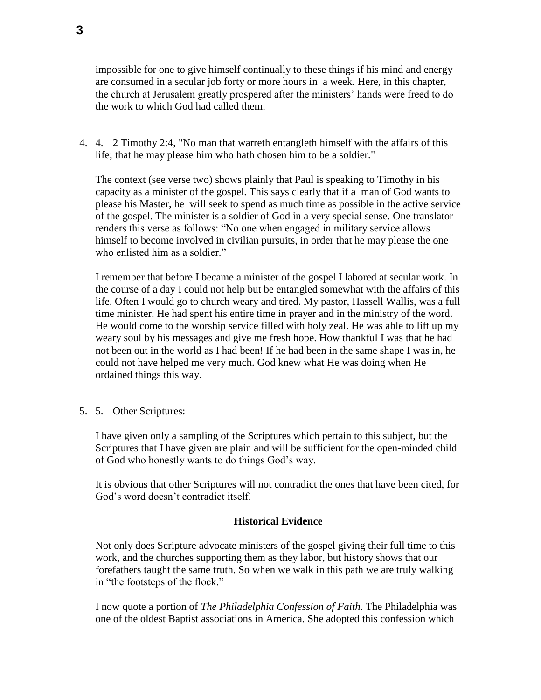impossible for one to give himself continually to these things if his mind and energy are consumed in a secular job forty or more hours in a week. Here, in this chapter, the church at Jerusalem greatly prospered after the ministers' hands were freed to do the work to which God had called them.

4. 4. 2 Timothy 2:4, "No man that warreth entangleth himself with the affairs of this life; that he may please him who hath chosen him to be a soldier."

The context (see verse two) shows plainly that Paul is speaking to Timothy in his capacity as a minister of the gospel. This says clearly that if a man of God wants to please his Master, he will seek to spend as much time as possible in the active service of the gospel. The minister is a soldier of God in a very special sense. One translator renders this verse as follows: "No one when engaged in military service allows himself to become involved in civilian pursuits, in order that he may please the one who enlisted him as a soldier."

I remember that before I became a minister of the gospel I labored at secular work. In the course of a day I could not help but be entangled somewhat with the affairs of this life. Often I would go to church weary and tired. My pastor, Hassell Wallis, was a full time minister. He had spent his entire time in prayer and in the ministry of the word. He would come to the worship service filled with holy zeal. He was able to lift up my weary soul by his messages and give me fresh hope. How thankful I was that he had not been out in the world as I had been! If he had been in the same shape I was in, he could not have helped me very much. God knew what He was doing when He ordained things this way.

5. 5. Other Scriptures:

I have given only a sampling of the Scriptures which pertain to this subject, but the Scriptures that I have given are plain and will be sufficient for the open-minded child of God who honestly wants to do things God's way.

It is obvious that other Scriptures will not contradict the ones that have been cited, for God's word doesn't contradict itself.

## **Historical Evidence**

Not only does Scripture advocate ministers of the gospel giving their full time to this work, and the churches supporting them as they labor, but history shows that our forefathers taught the same truth. So when we walk in this path we are truly walking in "the footsteps of the flock."

I now quote a portion of *The Philadelphia Confession of Faith*. The Philadelphia was one of the oldest Baptist associations in America. She adopted this confession which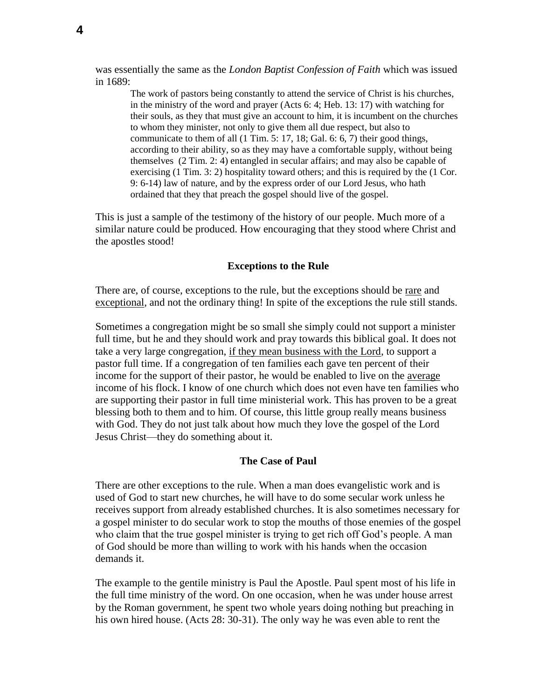was essentially the same as the *London Baptist Confession of Faith* which was issued in 1689:

The work of pastors being constantly to attend the service of Christ is his churches, in the ministry of the word and prayer (Acts 6: 4; Heb. 13: 17) with watching for their souls, as they that must give an account to him, it is incumbent on the churches to whom they minister, not only to give them all due respect, but also to communicate to them of all (1 Tim. 5: 17, 18; Gal. 6: 6, 7) their good things, according to their ability, so as they may have a comfortable supply, without being themselves (2 Tim. 2: 4) entangled in secular affairs; and may also be capable of exercising (1 Tim. 3: 2) hospitality toward others; and this is required by the (1 Cor. 9: 6-14) law of nature, and by the express order of our Lord Jesus, who hath ordained that they that preach the gospel should live of the gospel.

This is just a sample of the testimony of the history of our people. Much more of a similar nature could be produced. How encouraging that they stood where Christ and the apostles stood!

#### **Exceptions to the Rule**

There are, of course, exceptions to the rule, but the exceptions should be rare and exceptional, and not the ordinary thing! In spite of the exceptions the rule still stands.

Sometimes a congregation might be so small she simply could not support a minister full time, but he and they should work and pray towards this biblical goal. It does not take a very large congregation, if they mean business with the Lord, to support a pastor full time. If a congregation of ten families each gave ten percent of their income for the support of their pastor, he would be enabled to live on the average income of his flock. I know of one church which does not even have ten families who are supporting their pastor in full time ministerial work. This has proven to be a great blessing both to them and to him. Of course, this little group really means business with God. They do not just talk about how much they love the gospel of the Lord Jesus Christ—they do something about it.

#### **The Case of Paul**

There are other exceptions to the rule. When a man does evangelistic work and is used of God to start new churches, he will have to do some secular work unless he receives support from already established churches. It is also sometimes necessary for a gospel minister to do secular work to stop the mouths of those enemies of the gospel who claim that the true gospel minister is trying to get rich off God's people. A man of God should be more than willing to work with his hands when the occasion demands it.

The example to the gentile ministry is Paul the Apostle. Paul spent most of his life in the full time ministry of the word. On one occasion, when he was under house arrest by the Roman government, he spent two whole years doing nothing but preaching in his own hired house. (Acts 28: 30-31). The only way he was even able to rent the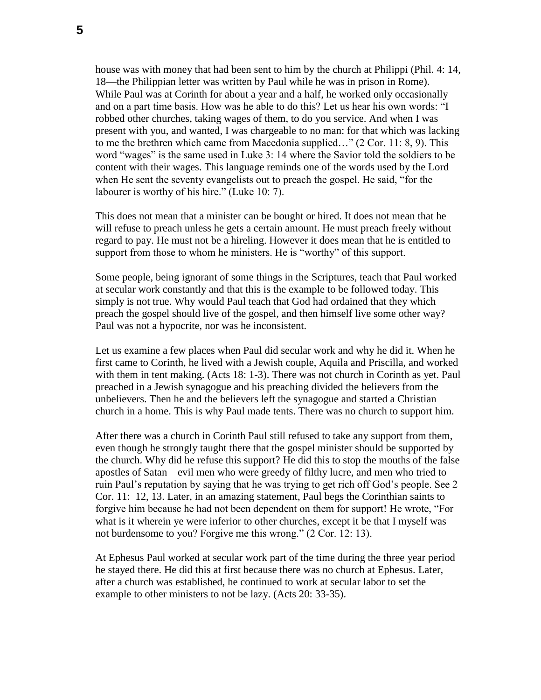house was with money that had been sent to him by the church at Philippi (Phil. 4: 14, 18—the Philippian letter was written by Paul while he was in prison in Rome). While Paul was at Corinth for about a year and a half, he worked only occasionally and on a part time basis. How was he able to do this? Let us hear his own words: "I robbed other churches, taking wages of them, to do you service. And when I was present with you, and wanted, I was chargeable to no man: for that which was lacking to me the brethren which came from Macedonia supplied…" (2 Cor. 11: 8, 9). This word "wages" is the same used in Luke 3: 14 where the Savior told the soldiers to be content with their wages. This language reminds one of the words used by the Lord when He sent the seventy evangelists out to preach the gospel. He said, "for the labourer is worthy of his hire." (Luke 10: 7).

This does not mean that a minister can be bought or hired. It does not mean that he will refuse to preach unless he gets a certain amount. He must preach freely without regard to pay. He must not be a hireling. However it does mean that he is entitled to support from those to whom he ministers. He is "worthy" of this support.

Some people, being ignorant of some things in the Scriptures, teach that Paul worked at secular work constantly and that this is the example to be followed today. This simply is not true. Why would Paul teach that God had ordained that they which preach the gospel should live of the gospel, and then himself live some other way? Paul was not a hypocrite, nor was he inconsistent.

Let us examine a few places when Paul did secular work and why he did it. When he first came to Corinth, he lived with a Jewish couple, Aquila and Priscilla, and worked with them in tent making. (Acts 18: 1-3). There was not church in Corinth as yet. Paul preached in a Jewish synagogue and his preaching divided the believers from the unbelievers. Then he and the believers left the synagogue and started a Christian church in a home. This is why Paul made tents. There was no church to support him.

After there was a church in Corinth Paul still refused to take any support from them, even though he strongly taught there that the gospel minister should be supported by the church. Why did he refuse this support? He did this to stop the mouths of the false apostles of Satan—evil men who were greedy of filthy lucre, and men who tried to ruin Paul's reputation by saying that he was trying to get rich off God's people. See 2 Cor. 11: 12, 13. Later, in an amazing statement, Paul begs the Corinthian saints to forgive him because he had not been dependent on them for support! He wrote, "For what is it wherein ye were inferior to other churches, except it be that I myself was not burdensome to you? Forgive me this wrong." (2 Cor. 12: 13).

At Ephesus Paul worked at secular work part of the time during the three year period he stayed there. He did this at first because there was no church at Ephesus. Later, after a church was established, he continued to work at secular labor to set the example to other ministers to not be lazy. (Acts 20: 33-35).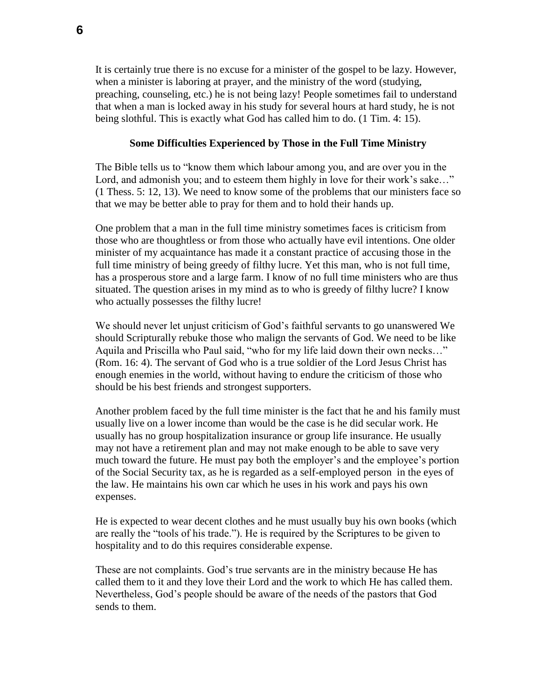It is certainly true there is no excuse for a minister of the gospel to be lazy. However, when a minister is laboring at prayer, and the ministry of the word (studying, preaching, counseling, etc.) he is not being lazy! People sometimes fail to understand that when a man is locked away in his study for several hours at hard study, he is not being slothful. This is exactly what God has called him to do. (1 Tim. 4: 15).

### **Some Difficulties Experienced by Those in the Full Time Ministry**

The Bible tells us to "know them which labour among you, and are over you in the Lord, and admonish you; and to esteem them highly in love for their work's sake..." (1 Thess. 5: 12, 13). We need to know some of the problems that our ministers face so that we may be better able to pray for them and to hold their hands up.

One problem that a man in the full time ministry sometimes faces is criticism from those who are thoughtless or from those who actually have evil intentions. One older minister of my acquaintance has made it a constant practice of accusing those in the full time ministry of being greedy of filthy lucre. Yet this man, who is not full time, has a prosperous store and a large farm. I know of no full time ministers who are thus situated. The question arises in my mind as to who is greedy of filthy lucre? I know who actually possesses the filthy lucre!

We should never let unjust criticism of God's faithful servants to go unanswered We should Scripturally rebuke those who malign the servants of God. We need to be like Aquila and Priscilla who Paul said, "who for my life laid down their own necks…" (Rom. 16: 4). The servant of God who is a true soldier of the Lord Jesus Christ has enough enemies in the world, without having to endure the criticism of those who should be his best friends and strongest supporters.

Another problem faced by the full time minister is the fact that he and his family must usually live on a lower income than would be the case is he did secular work. He usually has no group hospitalization insurance or group life insurance. He usually may not have a retirement plan and may not make enough to be able to save very much toward the future. He must pay both the employer's and the employee's portion of the Social Security tax, as he is regarded as a self-employed person in the eyes of the law. He maintains his own car which he uses in his work and pays his own expenses.

He is expected to wear decent clothes and he must usually buy his own books (which are really the "tools of his trade."). He is required by the Scriptures to be given to hospitality and to do this requires considerable expense.

These are not complaints. God's true servants are in the ministry because He has called them to it and they love their Lord and the work to which He has called them. Nevertheless, God's people should be aware of the needs of the pastors that God sends to them.